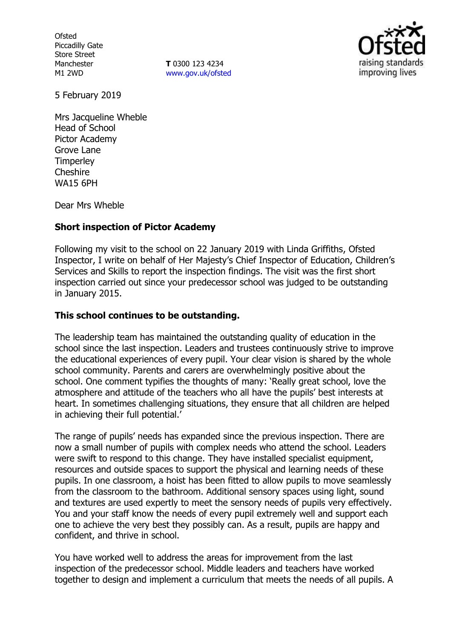**Ofsted** Piccadilly Gate Store Street Manchester M1 2WD

**T** 0300 123 4234 www.gov.uk/ofsted



5 February 2019

Mrs Jacqueline Wheble Head of School Pictor Academy Grove Lane **Timperley Cheshire** WA15 6PH

Dear Mrs Wheble

### **Short inspection of Pictor Academy**

Following my visit to the school on 22 January 2019 with Linda Griffiths, Ofsted Inspector, I write on behalf of Her Majesty's Chief Inspector of Education, Children's Services and Skills to report the inspection findings. The visit was the first short inspection carried out since your predecessor school was judged to be outstanding in January 2015.

# **This school continues to be outstanding.**

The leadership team has maintained the outstanding quality of education in the school since the last inspection. Leaders and trustees continuously strive to improve the educational experiences of every pupil. Your clear vision is shared by the whole school community. Parents and carers are overwhelmingly positive about the school. One comment typifies the thoughts of many: 'Really great school, love the atmosphere and attitude of the teachers who all have the pupils' best interests at heart. In sometimes challenging situations, they ensure that all children are helped in achieving their full potential.'

The range of pupils' needs has expanded since the previous inspection. There are now a small number of pupils with complex needs who attend the school. Leaders were swift to respond to this change. They have installed specialist equipment, resources and outside spaces to support the physical and learning needs of these pupils. In one classroom, a hoist has been fitted to allow pupils to move seamlessly from the classroom to the bathroom. Additional sensory spaces using light, sound and textures are used expertly to meet the sensory needs of pupils very effectively. You and your staff know the needs of every pupil extremely well and support each one to achieve the very best they possibly can. As a result, pupils are happy and confident, and thrive in school.

You have worked well to address the areas for improvement from the last inspection of the predecessor school. Middle leaders and teachers have worked together to design and implement a curriculum that meets the needs of all pupils. A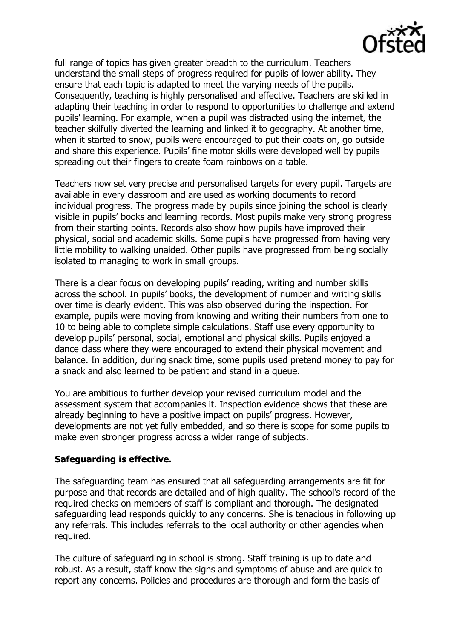

full range of topics has given greater breadth to the curriculum. Teachers understand the small steps of progress required for pupils of lower ability. They ensure that each topic is adapted to meet the varying needs of the pupils. Consequently, teaching is highly personalised and effective. Teachers are skilled in adapting their teaching in order to respond to opportunities to challenge and extend pupils' learning. For example, when a pupil was distracted using the internet, the teacher skilfully diverted the learning and linked it to geography. At another time, when it started to snow, pupils were encouraged to put their coats on, go outside and share this experience. Pupils' fine motor skills were developed well by pupils spreading out their fingers to create foam rainbows on a table.

Teachers now set very precise and personalised targets for every pupil. Targets are available in every classroom and are used as working documents to record individual progress. The progress made by pupils since joining the school is clearly visible in pupils' books and learning records. Most pupils make very strong progress from their starting points. Records also show how pupils have improved their physical, social and academic skills. Some pupils have progressed from having very little mobility to walking unaided. Other pupils have progressed from being socially isolated to managing to work in small groups.

There is a clear focus on developing pupils' reading, writing and number skills across the school. In pupils' books, the development of number and writing skills over time is clearly evident. This was also observed during the inspection. For example, pupils were moving from knowing and writing their numbers from one to 10 to being able to complete simple calculations. Staff use every opportunity to develop pupils' personal, social, emotional and physical skills. Pupils enjoyed a dance class where they were encouraged to extend their physical movement and balance. In addition, during snack time, some pupils used pretend money to pay for a snack and also learned to be patient and stand in a queue.

You are ambitious to further develop your revised curriculum model and the assessment system that accompanies it. Inspection evidence shows that these are already beginning to have a positive impact on pupils' progress. However, developments are not yet fully embedded, and so there is scope for some pupils to make even stronger progress across a wider range of subjects.

# **Safeguarding is effective.**

The safeguarding team has ensured that all safeguarding arrangements are fit for purpose and that records are detailed and of high quality. The school's record of the required checks on members of staff is compliant and thorough. The designated safeguarding lead responds quickly to any concerns. She is tenacious in following up any referrals. This includes referrals to the local authority or other agencies when required.

The culture of safeguarding in school is strong. Staff training is up to date and robust. As a result, staff know the signs and symptoms of abuse and are quick to report any concerns. Policies and procedures are thorough and form the basis of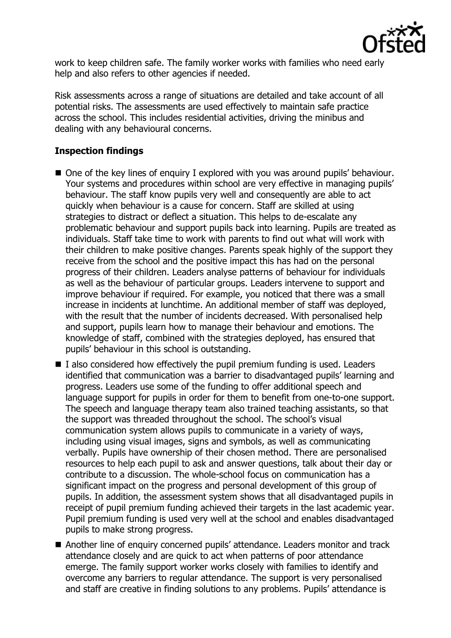

work to keep children safe. The family worker works with families who need early help and also refers to other agencies if needed.

Risk assessments across a range of situations are detailed and take account of all potential risks. The assessments are used effectively to maintain safe practice across the school. This includes residential activities, driving the minibus and dealing with any behavioural concerns.

# **Inspection findings**

- One of the key lines of enquiry I explored with you was around pupils' behaviour. Your systems and procedures within school are very effective in managing pupils' behaviour. The staff know pupils very well and consequently are able to act quickly when behaviour is a cause for concern. Staff are skilled at using strategies to distract or deflect a situation. This helps to de-escalate any problematic behaviour and support pupils back into learning. Pupils are treated as individuals. Staff take time to work with parents to find out what will work with their children to make positive changes. Parents speak highly of the support they receive from the school and the positive impact this has had on the personal progress of their children. Leaders analyse patterns of behaviour for individuals as well as the behaviour of particular groups. Leaders intervene to support and improve behaviour if required. For example, you noticed that there was a small increase in incidents at lunchtime. An additional member of staff was deployed, with the result that the number of incidents decreased. With personalised help and support, pupils learn how to manage their behaviour and emotions. The knowledge of staff, combined with the strategies deployed, has ensured that pupils' behaviour in this school is outstanding.
- $\blacksquare$  I also considered how effectively the pupil premium funding is used. Leaders identified that communication was a barrier to disadvantaged pupils' learning and progress. Leaders use some of the funding to offer additional speech and language support for pupils in order for them to benefit from one-to-one support. The speech and language therapy team also trained teaching assistants, so that the support was threaded throughout the school. The school's visual communication system allows pupils to communicate in a variety of ways, including using visual images, signs and symbols, as well as communicating verbally. Pupils have ownership of their chosen method. There are personalised resources to help each pupil to ask and answer questions, talk about their day or contribute to a discussion. The whole-school focus on communication has a significant impact on the progress and personal development of this group of pupils. In addition, the assessment system shows that all disadvantaged pupils in receipt of pupil premium funding achieved their targets in the last academic year. Pupil premium funding is used very well at the school and enables disadvantaged pupils to make strong progress.
- Another line of enquiry concerned pupils' attendance. Leaders monitor and track attendance closely and are quick to act when patterns of poor attendance emerge. The family support worker works closely with families to identify and overcome any barriers to regular attendance. The support is very personalised and staff are creative in finding solutions to any problems. Pupils' attendance is